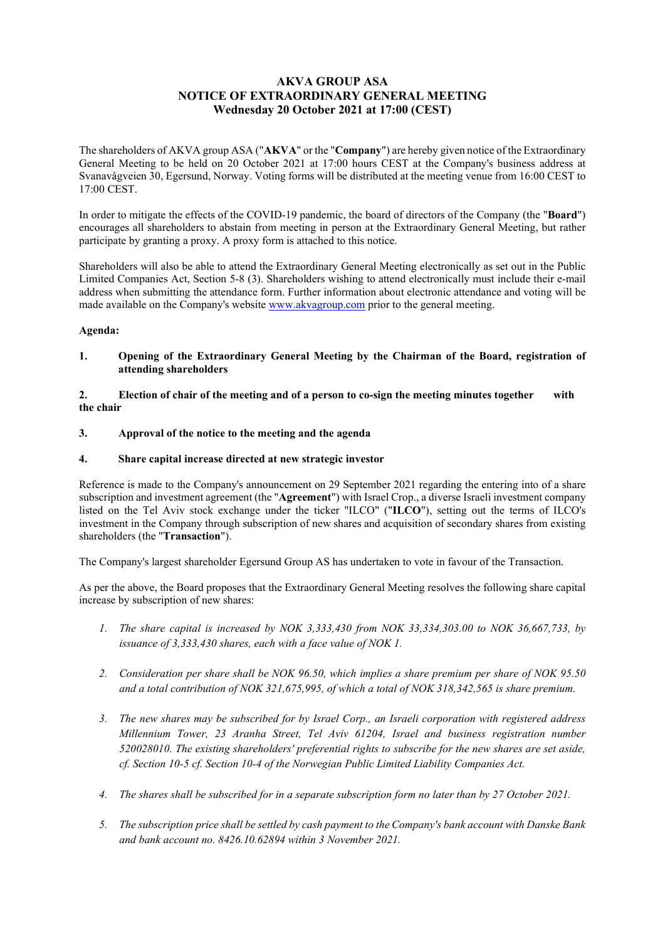# AKVA GROUP ASA NOTICE OF EXTRAORDINARY GENERAL MEETING Wednesday 20 October 2021 at 17:00 (CEST)

The shareholders of AKVA group ASA ("AKVA" or the "Company") are hereby given notice of the Extraordinary General Meeting to be held on 20 October 2021 at 17:00 hours CEST at the Company's business address at Svanavågveien 30, Egersund, Norway. Voting forms will be distributed at the meeting venue from 16:00 CEST to 17:00 CEST.

In order to mitigate the effects of the COVID-19 pandemic, the board of directors of the Company (the "Board") encourages all shareholders to abstain from meeting in person at the Extraordinary General Meeting, but rather participate by granting a proxy. A proxy form is attached to this notice.

Shareholders will also be able to attend the Extraordinary General Meeting electronically as set out in the Public Limited Companies Act, Section 5-8 (3). Shareholders wishing to attend electronically must include their e-mail address when submitting the attendance form. Further information about electronic attendance and voting will be made available on the Company's website www.akvagroup.com prior to the general meeting.

## Agenda:

1. Opening of the Extraordinary General Meeting by the Chairman of the Board, registration of attending shareholders

#### 2. Election of chair of the meeting and of a person to co-sign the meeting minutes together with the chair

## 3. Approval of the notice to the meeting and the agenda

## 4. Share capital increase directed at new strategic investor

Reference is made to the Company's announcement on 29 September 2021 regarding the entering into of a share subscription and investment agreement (the "Agreement") with Israel Crop., a diverse Israeli investment company listed on the Tel Aviv stock exchange under the ticker "ILCO" ("ILCO"), setting out the terms of ILCO's investment in the Company through subscription of new shares and acquisition of secondary shares from existing shareholders (the "Transaction").

The Company's largest shareholder Egersund Group AS has undertaken to vote in favour of the Transaction.

As per the above, the Board proposes that the Extraordinary General Meeting resolves the following share capital increase by subscription of new shares:

- 1. The share capital is increased by NOK 3,333,430 from NOK 33,334,303.00 to NOK 36,667,733, by issuance of 3,333,430 shares, each with a face value of NOK 1.
- 2. Consideration per share shall be NOK 96.50, which implies a share premium per share of NOK 95.50 and a total contribution of NOK 321,675,995, of which a total of NOK 318,342,565 is share premium.
- 3. The new shares may be subscribed for by Israel Corp., an Israeli corporation with registered address Millennium Tower, 23 Aranha Street, Tel Aviv 61204, Israel and business registration number 520028010. The existing shareholders' preferential rights to subscribe for the new shares are set aside, cf. Section 10-5 cf. Section 10-4 of the Norwegian Public Limited Liability Companies Act.
- 4. The shares shall be subscribed for in a separate subscription form no later than by 27 October 2021.
- 5. The subscription price shall be settled by cash payment to the Company's bank account with Danske Bank and bank account no. 8426.10.62894 within 3 November 2021.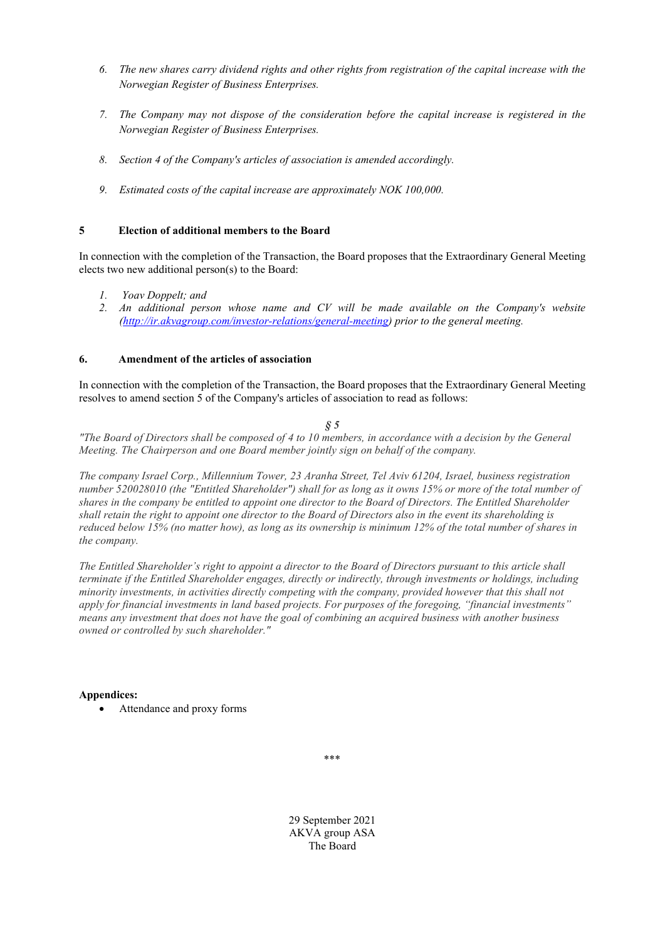- 6. The new shares carry dividend rights and other rights from registration of the capital increase with the Norwegian Register of Business Enterprises.
- 7. The Company may not dispose of the consideration before the capital increase is registered in the Norwegian Register of Business Enterprises.
- 8. Section 4 of the Company's articles of association is amended accordingly.
- 9. Estimated costs of the capital increase are approximately NOK 100,000.

# 5 Election of additional members to the Board

In connection with the completion of the Transaction, the Board proposes that the Extraordinary General Meeting elects two new additional person(s) to the Board:

- 1. Yoav Doppelt; and
- 2. An additional person whose name and CV will be made available on the Company's website (http://ir.akvagroup.com/investor-relations/general-meeting) prior to the general meeting.

## 6. Amendment of the articles of association

In connection with the completion of the Transaction, the Board proposes that the Extraordinary General Meeting resolves to amend section 5 of the Company's articles of association to read as follows:

## $\hat{S}$  5

"The Board of Directors shall be composed of 4 to 10 members, in accordance with a decision by the General Meeting. The Chairperson and one Board member jointly sign on behalf of the company.

The company Israel Corp., Millennium Tower, 23 Aranha Street, Tel Aviv 61204, Israel, business registration number 520028010 (the "Entitled Shareholder") shall for as long as it owns 15% or more of the total number of shares in the company be entitled to appoint one director to the Board of Directors. The Entitled Shareholder shall retain the right to appoint one director to the Board of Directors also in the event its shareholding is reduced below 15% (no matter how), as long as its ownership is minimum 12% of the total number of shares in the company.

The Entitled Shareholder's right to appoint a director to the Board of Directors pursuant to this article shall terminate if the Entitled Shareholder engages, directly or indirectly, through investments or holdings, including minority investments, in activities directly competing with the company, provided however that this shall not apply for financial investments in land based projects. For purposes of the foregoing, "financial investments" means any investment that does not have the goal of combining an acquired business with another business owned or controlled by such shareholder."

# Appendices:

Attendance and proxy forms

\*\*\*

29 September 2021 AKVA group ASA The Board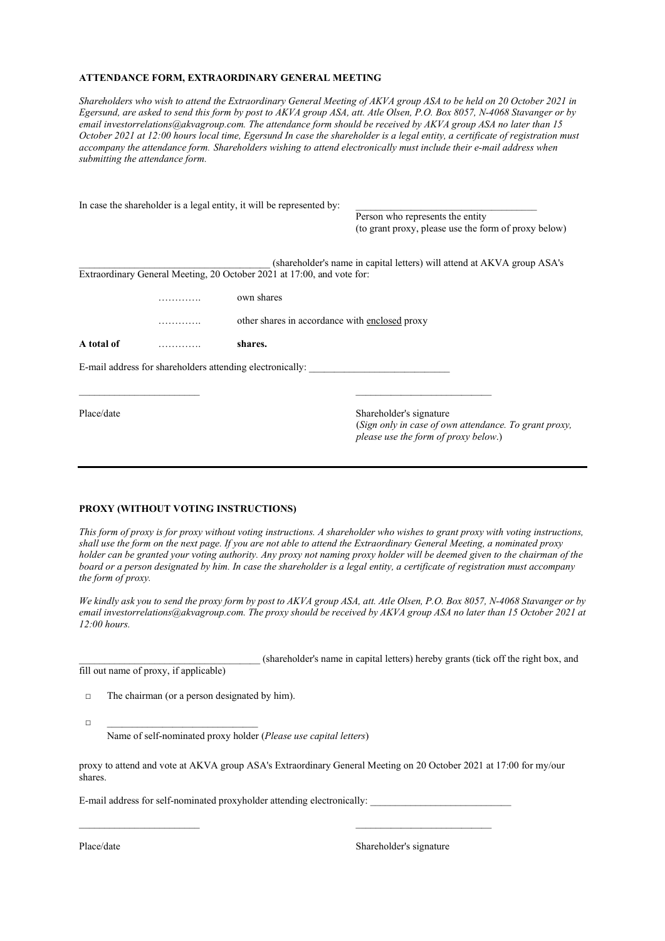#### ATTENDANCE FORM, EXTRAORDINARY GENERAL MEETING

Shareholders who wish to attend the Extraordinary General Meeting of AKVA group ASA to be held on 20 October 2021 in Egersund, are asked to send this form by post to AKVA group ASA, att. Atle Olsen, P.O. Box 8057, N-4068 Stavanger or by email investorrelations@akvagroup.com. The attendance form should be received by AKVA group ASA no later than 15 October 2021 at 12:00 hours local time, Egersund In case the shareholder is a legal entity, a certificate of registration must accompany the attendance form. Shareholders wishing to attend electronically must include their e-mail address when submitting the attendance form.

|            |   | In case the shareholder is a legal entity, it will be represented by:  |                                                                                                                          |  |  |
|------------|---|------------------------------------------------------------------------|--------------------------------------------------------------------------------------------------------------------------|--|--|
|            |   |                                                                        | Person who represents the entity                                                                                         |  |  |
|            |   |                                                                        | (to grant proxy, please use the form of proxy below)                                                                     |  |  |
|            |   |                                                                        | (shareholder's name in capital letters) will attend at AKVA group ASA's                                                  |  |  |
|            |   | Extraordinary General Meeting, 20 October 2021 at 17:00, and vote for: |                                                                                                                          |  |  |
|            | . | own shares                                                             |                                                                                                                          |  |  |
|            |   | other shares in accordance with enclosed proxy                         |                                                                                                                          |  |  |
| A total of |   | shares.                                                                |                                                                                                                          |  |  |
|            |   | E-mail address for shareholders attending electronically:              |                                                                                                                          |  |  |
|            |   |                                                                        |                                                                                                                          |  |  |
| Place/date |   |                                                                        | Shareholder's signature<br>(Sign only in case of own attendance. To grant proxy,<br>please use the form of proxy below.) |  |  |

#### PROXY (WITHOUT VOTING INSTRUCTIONS)

This form of proxy is for proxy without voting instructions. A shareholder who wishes to grant proxy with voting instructions, shall use the form on the next page. If you are not able to attend the Extraordinary General Meeting, a nominated proxy holder can be granted your voting authority. Any proxy not naming proxy holder will be deemed given to the chairman of the board or a person designated by him. In case the shareholder is a legal entity, a certificate of registration must accompany the form of proxy.

We kindly ask you to send the proxy form by post to AKVA group ASA, att. Atle Olsen, P.O. Box 8057, N-4068 Stavanger or by email investorrelations@akvagroup.com. The proxy should be received by AKVA group ASA no later than 15 October 2021 at 12:00 hours.

|                                        | (shareholder's name in capital letters) hereby grants (tick off the right box, and |  |
|----------------------------------------|------------------------------------------------------------------------------------|--|
| fill out name of proxy, if applicable) |                                                                                    |  |

□ The chairman (or a person designated by him).

 $\Box$ Name of self-nominated proxy holder (Please use capital letters)

proxy to attend and vote at AKVA group ASA's Extraordinary General Meeting on 20 October 2021 at 17:00 for my/our shares.

E-mail address for self-nominated proxyholder attending electronically:

Place/date Shareholder's signature Shareholder's signature